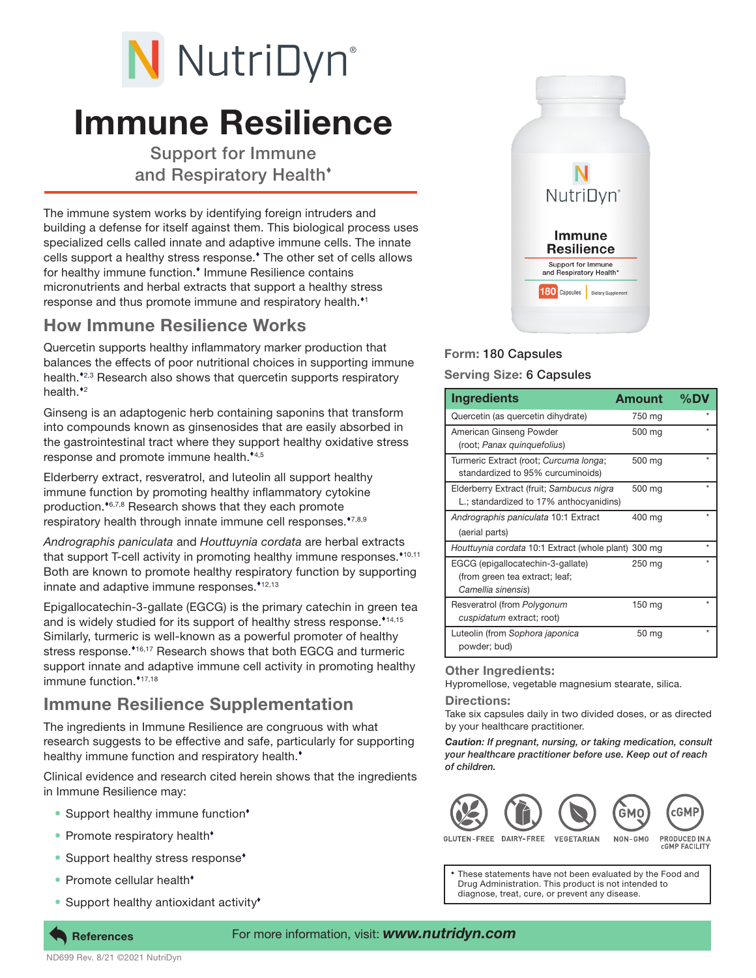# N NutriDyn®

# Immune Resilience

Support for Immune and Respiratory Health

The immune system works by identifying foreign intruders and building a defense for itself against them. This biological process uses specialized cells called innate and adaptive immune cells. The innate cells support a healthy stress response. The other set of cells allows for healthy immune function.<sup>\*</sup> Immune Resilience contains micronutrients and herbal extracts that support a healthy stress response and thus promote immune and respiratory health.<sup>11</sup>

### How Immune Resilience Works

Quercetin supports healthy inflammatory marker production that balances the effects of poor nutritional choices in supporting immune health.<sup>42,3</sup> Research also shows that quercetin supports respiratory health. $*$ <sup>2</sup>

Ginseng is an adaptogenic herb containing saponins that transform into compounds known as ginsenosides that are easily absorbed in the gastrointestinal tract where they support healthy oxidative stress response and promote immune health.<sup>\*4,5</sup>

Elderberry extract, resveratrol, and luteolin all support healthy immune function by promoting healthy inflammatory cytokine production.<sup>46,7,8</sup> Research shows that they each promote respiratory health through innate immune cell responses.<sup>\*7,8,9</sup>

*Andrographis paniculata* and *Houttuynia cordata* are herbal extracts that support T-cell activity in promoting healthy immune responses. $*10,11$ Both are known to promote healthy respiratory function by supporting innate and adaptive immune responses. $*12,13$ 

Epigallocatechin-3-gallate (EGCG) is the primary catechin in green tea and is widely studied for its support of healthy stress response.<sup> $*14,15$ </sup> Similarly, turmeric is well-known as a powerful promoter of healthy stress response.\*16,17 Research shows that both EGCG and turmeric support innate and adaptive immune cell activity in promoting healthy immune function.\*17,18

## Immune Resilience Supplementation

The ingredients in Immune Resilience are congruous with what research suggests to be effective and safe, particularly for supporting healthy immune function and respiratory health.<sup>\*</sup>

Clinical evidence and research cited herein shows that the ingredients in Immune Resilience may:

- Support healthy immune function<sup>\*</sup>
- Promote respiratory health<sup>\*</sup>
- Support healthy stress response<sup>\*</sup>
- Promote cellular health<sup>\*</sup>

ND699 Rev. 8/21 ©2021 NutriDyn

Support healthy antioxidant activity<sup>\*</sup>



#### Form: 180 Capsules

#### Serving Size: 6 Capsules

| <b>Ingredients</b>                                                                        | <b>Amount</b> | $\%$ DV |
|-------------------------------------------------------------------------------------------|---------------|---------|
| Quercetin (as quercetin dihydrate)                                                        | 750 mg        |         |
| American Ginseng Powder<br>(root; Panax quinquefolius)                                    | 500 mg        | ÷       |
| Turmeric Extract (root; Curcuma longa;<br>standardized to 95% curcuminoids)               | 500 mg        | $\star$ |
| Elderberry Extract (fruit; Sambucus nigra<br>L.; standardized to 17% anthocyanidins)      | 500 mg        | $\star$ |
| Andrographis paniculata 10:1 Extract<br>(aerial parts)                                    | 400 mg        | $\star$ |
| Houttuynia cordata 10:1 Extract (whole plant) 300 mg                                      |               | $\star$ |
| EGCG (epigallocatechin-3-gallate)<br>(from green tea extract; leaf;<br>Camellia sinensis) | 250 mg        | $\star$ |
| Resveratrol (from Polygonum<br>cuspidatum extract; root)                                  | 150 mg        | ÷       |
| Luteolin (from Sophora japonica<br>powder; bud)                                           | 50 mg         |         |

#### Other Ingredients:

Hypromellose, vegetable magnesium stearate, silica.

#### Directions:

Take six capsules daily in two divided doses, or as directed by your healthcare practitioner.

*Caution: If pregnant, nursing, or taking medication, consult your healthcare practitioner before use. Keep out of reach of children.*



GLUTEN-FREE DAIRY-FREE **VEGETARIAN** 

PRODUCED IN A NON-GMO **CGMP FACILITY** 

These statements have not been evaluated by the Food and Drug Administration. This product is not intended to diagnose, treat, cure, or prevent any disease.

#### References For more information, visit: *www.nutridyn.com*